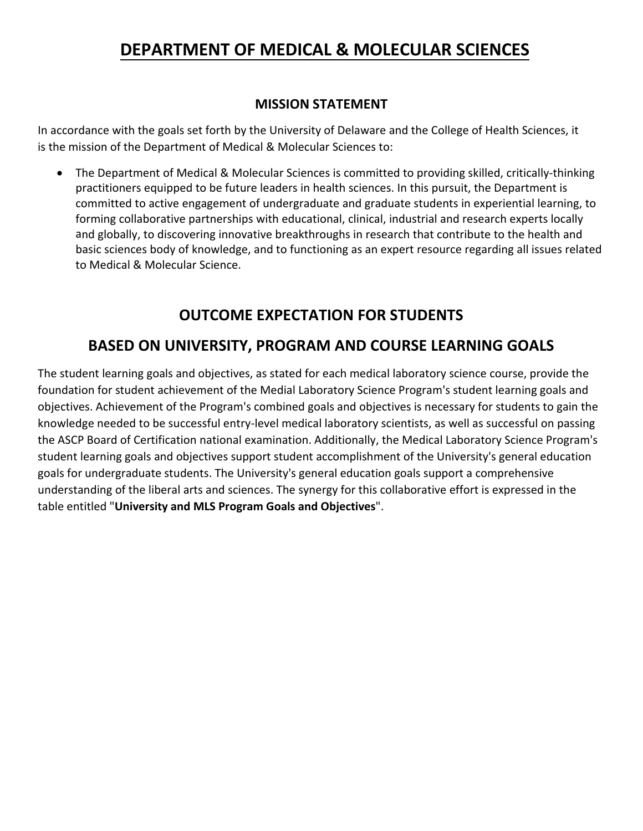## **DEPARTMENT OF MEDICAL & MOLECULAR SCIENCES**

#### **MISSION STATEMENT**

In accordance with the goals set forth by the University of Delaware and the College of Health Sciences, it is the mission of the Department of Medical & Molecular Sciences to:

• The Department of Medical & Molecular Sciences is committed to providing skilled, critically-thinking practitioners equipped to be future leaders in health sciences. In this pursuit, the Department is committed to active engagement of undergraduate and graduate students in experiential learning, to forming collaborative partnerships with educational, clinical, industrial and research experts locally and globally, to discovering innovative breakthroughs in research that contribute to the health and basic sciences body of knowledge, and to functioning as an expert resource regarding all issues related to Medical & Molecular Science.

### **OUTCOME EXPECTATION FOR STUDENTS**

### **BASED ON UNIVERSITY, PROGRAM AND COURSE LEARNING GOALS**

The student learning goals and objectives, as stated for each medical laboratory science course, provide the foundation for student achievement of the Medial Laboratory Science Program's student learning goals and objectives. Achievement of the Program's combined goals and objectives is necessary for students to gain the knowledge needed to be successful entry-level medical laboratory scientists, as well as successful on passing the ASCP Board of Certification national examination. Additionally, the Medical Laboratory Science Program's student learning goals and objectives support student accomplishment of the University's general education goals for undergraduate students. The University's general education goals support a comprehensive understanding of the liberal arts and sciences. The synergy for this collaborative effort is expressed in the table entitled "**University and MLS Program Goals and Objectives**".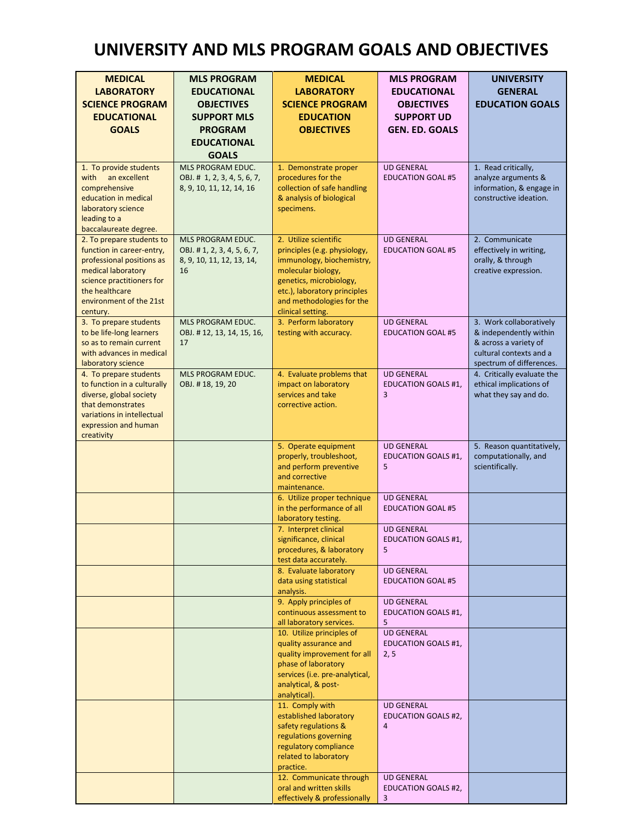# **UNIVERSITY AND MLS PROGRAM GOALS AND OBJECTIVES**

| <b>MEDICAL</b><br><b>LABORATORY</b><br><b>SCIENCE PROGRAM</b><br><b>EDUCATIONAL</b><br><b>GOALS</b>                                                                                             | <b>MLS PROGRAM</b><br><b>EDUCATIONAL</b><br><b>OBJECTIVES</b><br><b>SUPPORT MLS</b><br><b>PROGRAM</b><br><b>EDUCATIONAL</b><br><b>GOALS</b> | <b>MEDICAL</b><br><b>LABORATORY</b><br><b>SCIENCE PROGRAM</b><br><b>EDUCATION</b><br><b>OBJECTIVES</b>                                                                                                                | <b>MLS PROGRAM</b><br><b>EDUCATIONAL</b><br><b>OBJECTIVES</b><br><b>SUPPORT UD</b><br><b>GEN. ED. GOALS</b> | <b>UNIVERSITY</b><br><b>GENERAL</b><br><b>EDUCATION GOALS</b>                                                                     |
|-------------------------------------------------------------------------------------------------------------------------------------------------------------------------------------------------|---------------------------------------------------------------------------------------------------------------------------------------------|-----------------------------------------------------------------------------------------------------------------------------------------------------------------------------------------------------------------------|-------------------------------------------------------------------------------------------------------------|-----------------------------------------------------------------------------------------------------------------------------------|
| 1. To provide students<br>with an excellent<br>comprehensive<br>education in medical<br>laboratory science<br>leading to a<br>baccalaureate degree.                                             | <b>MLS PROGRAM EDUC.</b><br>OBJ. # 1, 2, 3, 4, 5, 6, 7,<br>8, 9, 10, 11, 12, 14, 16                                                         | 1. Demonstrate proper<br>procedures for the<br>collection of safe handling<br>& analysis of biological<br>specimens.                                                                                                  | <b>UD GENERAL</b><br><b>EDUCATION GOAL #5</b>                                                               | 1. Read critically,<br>analyze arguments &<br>information, & engage in<br>constructive ideation.                                  |
| 2. To prepare students to<br>function in career-entry,<br>professional positions as<br>medical laboratory<br>science practitioners for<br>the healthcare<br>environment of the 21st<br>century. | MLS PROGRAM EDUC.<br>OBJ. #1, 2, 3, 4, 5, 6, 7,<br>8, 9, 10, 11, 12, 13, 14,<br>16                                                          | 2. Utilize scientific<br>principles (e.g. physiology,<br>immunology, biochemistry,<br>molecular biology,<br>genetics, microbiology,<br>etc.), laboratory principles<br>and methodologies for the<br>clinical setting. | <b>UD GENERAL</b><br><b>EDUCATION GOAL #5</b>                                                               | 2. Communicate<br>effectively in writing,<br>orally, & through<br>creative expression.                                            |
| 3. To prepare students<br>to be life-long learners<br>so as to remain current<br>with advances in medical<br>laboratory science                                                                 | <b>MLS PROGRAM EDUC.</b><br>OBJ. #12, 13, 14, 15, 16,<br>17                                                                                 | 3. Perform laboratory<br>testing with accuracy.                                                                                                                                                                       | <b>UD GENERAL</b><br><b>EDUCATION GOAL #5</b>                                                               | 3. Work collaboratively<br>& independently within<br>& across a variety of<br>cultural contexts and a<br>spectrum of differences. |
| 4. To prepare students<br>to function in a culturally<br>diverse, global society<br>that demonstrates<br>variations in intellectual<br>expression and human<br>creativity                       | MLS PROGRAM EDUC.<br>OBJ. #18, 19, 20                                                                                                       | 4. Evaluate problems that<br>impact on laboratory<br>services and take<br>corrective action.                                                                                                                          | <b>UD GENERAL</b><br><b>EDUCATION GOALS #1,</b><br>3                                                        | 4. Critically evaluate the<br>ethical implications of<br>what they say and do.                                                    |
|                                                                                                                                                                                                 |                                                                                                                                             | 5. Operate equipment<br>properly, troubleshoot,<br>and perform preventive<br>and corrective<br>maintenance.                                                                                                           | <b>UD GENERAL</b><br><b>EDUCATION GOALS #1,</b><br>5                                                        | 5. Reason quantitatively,<br>computationally, and<br>scientifically.                                                              |
|                                                                                                                                                                                                 |                                                                                                                                             | 6. Utilize proper technique<br>in the performance of all<br>laboratory testing.                                                                                                                                       | <b>UD GENERAL</b><br><b>EDUCATION GOAL #5</b>                                                               |                                                                                                                                   |
|                                                                                                                                                                                                 |                                                                                                                                             | 7. Interpret clinical<br>significance, clinical<br>procedures, & laboratory<br>test data accurately.                                                                                                                  | <b>UD GENERAL</b><br><b>EDUCATION GOALS #1,</b><br>5                                                        |                                                                                                                                   |
|                                                                                                                                                                                                 |                                                                                                                                             | 8. Evaluate laboratory<br>data using statistical<br>analysis.                                                                                                                                                         | <b>UD GENERAL</b><br><b>EDUCATION GOAL #5</b>                                                               |                                                                                                                                   |
|                                                                                                                                                                                                 |                                                                                                                                             | 9. Apply principles of<br>continuous assessment to<br>all laboratory services.                                                                                                                                        | <b>UD GENERAL</b><br><b>EDUCATION GOALS #1,</b><br>5                                                        |                                                                                                                                   |
|                                                                                                                                                                                                 |                                                                                                                                             | 10. Utilize principles of<br>quality assurance and<br>quality improvement for all<br>phase of laboratory<br>services (i.e. pre-analytical,<br>analytical, & post-<br>analytical).                                     | <b>UD GENERAL</b><br><b>EDUCATION GOALS #1,</b><br>2, 5                                                     |                                                                                                                                   |
|                                                                                                                                                                                                 |                                                                                                                                             | 11. Comply with<br>established laboratory<br>safety regulations &<br>regulations governing<br>regulatory compliance<br>related to laboratory<br>practice.                                                             | <b>UD GENERAL</b><br><b>EDUCATION GOALS #2,</b><br>4                                                        |                                                                                                                                   |
|                                                                                                                                                                                                 |                                                                                                                                             | 12. Communicate through<br>oral and written skills<br>effectively & professionally                                                                                                                                    | <b>UD GENERAL</b><br><b>EDUCATION GOALS #2,</b><br>3                                                        |                                                                                                                                   |